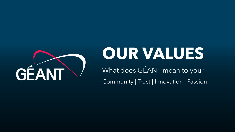

# **OUR VALUES**

What does GÉANT mean to you?

Community | Trust | Innovation | Passion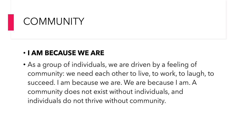## **COMMUNITY**

#### • **I AM BECAUSE WE ARE**

• As a group of individuals, we are driven by a feeling of community: we need each other to live, to work, to laugh, to succeed. I am because we are. We are because I am. A community does not exist without individuals, and individuals do not thrive without community.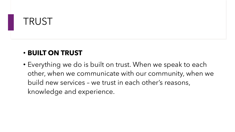## TRUST

### • **BUILT ON TRUST**

• Everything we do is built on trust. When we speak to each other, when we communicate with our community, when we build new services – we trust in each other's reasons, knowledge and experience.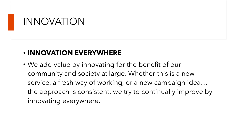## INNOVATION

#### • **INNOVATION EVERYWHERE**

• We add value by innovating for the benefit of our community and society at large. Whether this is a new service, a fresh way of working, or a new campaign idea… the approach is consistent: we try to continually improve by innovating everywhere.